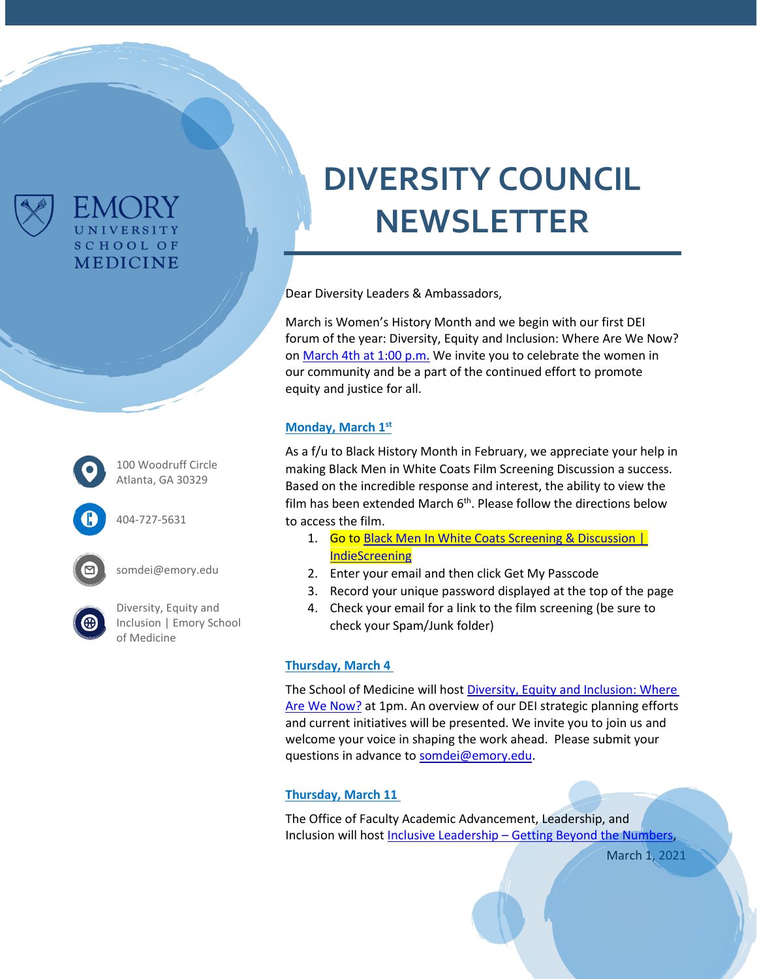

100 Woodruff Circle Atlanta, GA 30329

FMCRY UNIVERSITY **SCHOOL OF MEDICINE** 

404-727-5631

somdei@emory.edu

[Diversity, Equity and](https://www.med.emory.edu/about/diversity/index.html)  [Inclusion | Emory School](https://www.med.emory.edu/about/diversity/index.html)  [of Medicine](https://www.med.emory.edu/about/diversity/index.html)

# **DIVERSITY COUNCIL NEWSLETTER**

Dear Diversity Leaders & Ambassadors,

March is Women's History Month and we begin with our first DEI forum of the year: Diversity, Equity and Inclusion: Where Are We Now? on [March 4th at 1:00 p.m.](https://eventactions.com/eareg.aspx?ea=Rsvp&invite=0be0b6p59taz1faw843u3esjzdwkd6t950hh4exxpdrtc3jukw6x) We invite you to celebrate the women in our community and be a part of the continued effort to promote equity and justice for all.

## **Monday, March 1st**

As a f/u to Black History Month in February, we appreciate your help in making [Black Men in White Coats Film Screening Discussion](https://www.med.emory.edu/about/diversity/bhm.html) a success. Based on the incredible response and interest, the ability to view the film has been extended March 6<sup>th</sup>. Please follow the directions below to access the film.

- 1. Go to Black Men In White Coats Screening & Discussion | [IndieScreening](https://nam11.safelinks.protection.outlook.com/?url=https%3A%2F%2Findiescreening.com%2Fscreenings%2F184&data=04%7C01%7Cdejoron.t.campbell%40emory.edu%7C2d773979a7a44b5e75ed08d8dd90915d%7Ce004fb9cb0a4424fbcd0322606d5df38%7C0%7C0%7C637502960277616095%7CUnknown%7CTWFpbGZsb3d8eyJWIjoiMC4wLjAwMDAiLCJQIjoiV2luMzIiLCJBTiI6Ik1haWwiLCJXVCI6Mn0%3D%7C1000&sdata=XOgQxgURBsG4vddLKFSoPE%2BVt9T1L3gE7ieS9SkBgDM%3D&reserved=0)
- 2. Enter your email and then click Get My Passcode
- 3. Record your unique password displayed at the top of the page
- 4. Check your email for a link to the film screening (be sure to check your Spam/Junk folder)

### **Thursday, March 4**

The School of Medicine will host [Diversity, Equity and Inclusion: Where](https://eventactions.com/eareg.aspx?ea=Rsvp&invite=0be0b6p59taz1faw843u3esjzdwkd6t950hh4exxpdrtc3jukw6x)  [Are We Now?](https://eventactions.com/eareg.aspx?ea=Rsvp&invite=0be0b6p59taz1faw843u3esjzdwkd6t950hh4exxpdrtc3jukw6x) at 1pm. An overview of our DEI strategic planning efforts and current initiatives will be presented. We invite you to join us and welcome your voice in shaping the work ahead. Please submit your questions in advance to [somdei@emory.edu.](mailto:somdei@emory.edu)

## **Thursday, March 11**

The Office of Faculty Academic Advancement, Leadership, and Inclusion will host Inclusive Leadership – [Getting Beyond the Numbers,](https://eventactions.com/eareg.aspx?ea=Rsvp&invite=g7yp5mwh2jmxdzdk65jaduvwf4hb4uzbw0yv735ybr3w366u0xvg)

March 1, 2021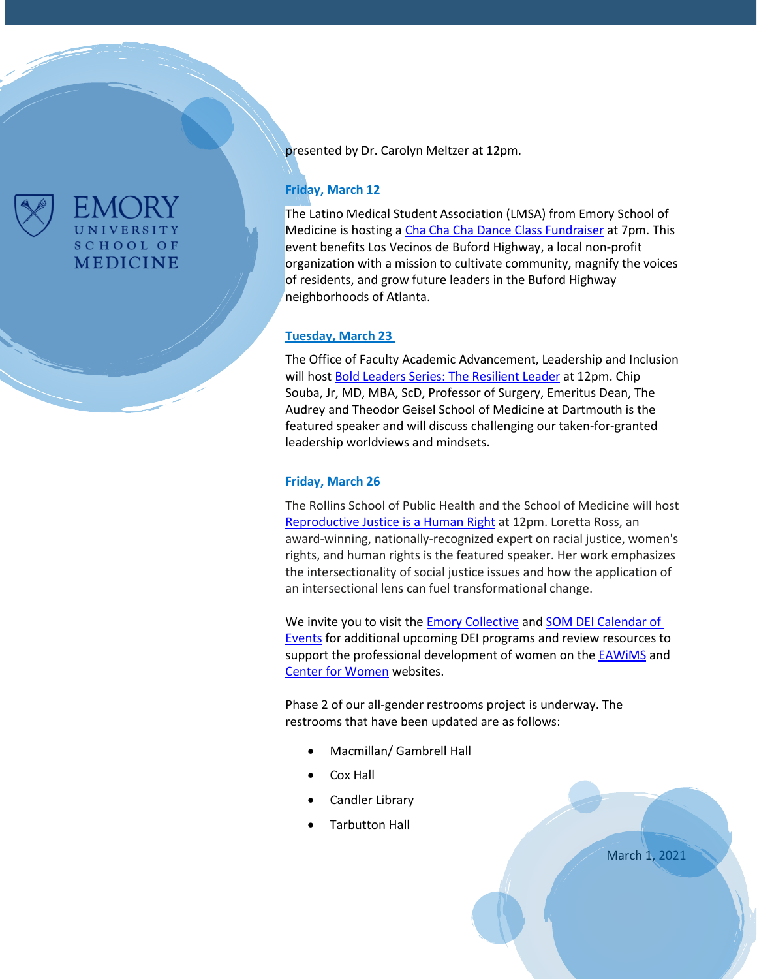

FMC JR UNIVERSITY **SCHOOL OF MEDICINE**  presented by Dr. Carolyn Meltzer at 12pm.

## **Friday, March 12**

The Latino Medical Student Association (LMSA) from Emory School of Medicine is hosting a [Cha Cha Cha Dance Class Fundraiser](https://www.med.emory.edu/about/diversity/index.html) at 7pm. This event benefits [Los Vecinos de Buford Highway,](https://vecinosbh.org/) a local non-profit organization with a mission to cultivate community, magnify the voices of residents, and grow future leaders in the Buford Highway neighborhoods of Atlanta.

### **Tuesday, March 23**

The Office of Faculty Academic Advancement, Leadership and Inclusion will host [Bold Leaders Series: The Resilient Leader](https://eventactions.com/eareg.aspx?ea=Rsvp&invite=04pmn3bbjp30dk9nhwedrcv72uyy0mk6kj5tey5y9k36wudnt717) at 12pm. Chip Souba, Jr, MD, MBA, ScD, Professor of Surgery, Emeritus Dean, The Audrey and Theodor Geisel School of Medicine at Dartmouth is the featured speaker and will discuss challenging our taken-for-granted leadership worldviews and mindsets.

### **Friday, March 26**

The Rollins School of Public Health and the School of Medicine will host [Reproductive](https://eventactions.com/eareg.aspx?ea=Rsvp&invite=ggay8rxaayn7tbzcuaj2nv4e8xdbpgcxv10vvrsc1kx8s3ezzvfp) Justice is a Human Right at 12pm. Loretta Ross, an award-winning, nationally-recognized expert on racial justice, women's rights, and human rights is the featured speaker. Her work emphasizes the intersectionality of social justice issues and how the application of an intersectional lens can fuel transformational change.

We invite you to visit the **Emory Collective and SOM DEI Calendar of** [Events](https://med.emory.edu/about/events/index.html#Diversity%20Equity%20and%20Inclusion) for additional upcoming DEI programs and review resources to support the professional development of women on the EAWIMS and [Center for Women](http://www.womenscenter.emory.edu/programs/index.html) websites.

Phase 2 of our all-gender restrooms project is underway. The restrooms that have been updated are as follows:

- Macmillan/ Gambrell Hall
- Cox Hall
- Candler Library
- Tarbutton Hall

March 1, 2021